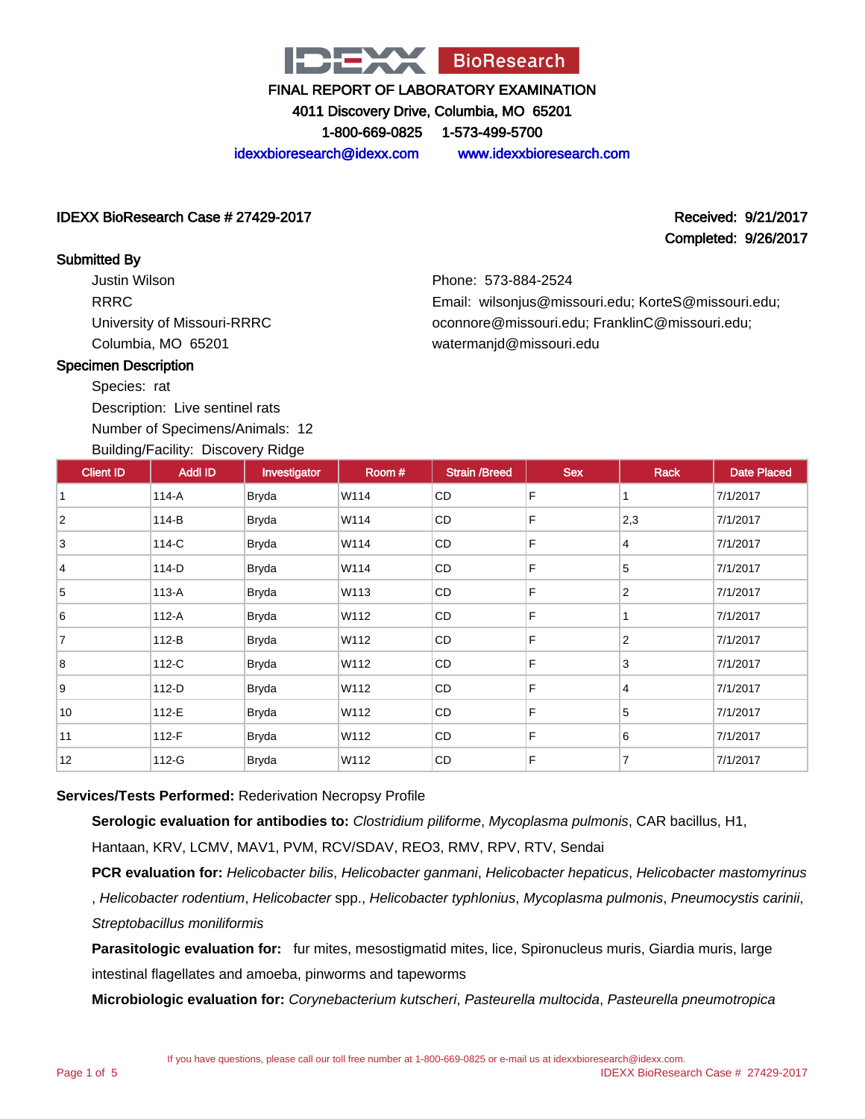

4011 Discovery Drive, Columbia, MO 65201

1-800-669-0825 1-573-499-5700

idexxbioresearch@idexx.com www.idexxbioresearch.com

#### IDEXX BioResearch Case # 27429-2017 Received: 9/21/2017

# Completed: 9/26/2017

Submitted By

Justin Wilson RRRC University of Missouri-RRRC Columbia, MO 65201

Phone: 573-884-2524 Email: wilsonjus@missouri.edu; KorteS@missouri.edu; oconnore@missouri.edu; FranklinC@missouri.edu; watermanjd@missouri.edu

#### Specimen Description

Species: rat

Description: Live sentinel rats Number of Specimens/Animals: 12

#### Building/Facility: Discovery Ridge

| <b>Client ID</b> | $=$ $\frac{1}{2}$ $\frac{1}{2}$ $\frac{1}{2}$ $\frac{1}{2}$ $\frac{1}{2}$ $\frac{1}{2}$ $\frac{1}{2}$ $\frac{1}{2}$ $\frac{1}{2}$ $\frac{1}{2}$ $\frac{1}{2}$ $\frac{1}{2}$ $\frac{1}{2}$ $\frac{1}{2}$ $\frac{1}{2}$ $\frac{1}{2}$ $\frac{1}{2}$ $\frac{1}{2}$ $\frac{1}{2}$ $\frac{1}{2}$ $\frac{1}{2}$ $\frac{1}{2$<br><b>Addl ID</b> | Investigator | Room # | <b>Strain /Breed</b> | <b>Sex</b> | Rack           | <b>Date Placed</b> |
|------------------|------------------------------------------------------------------------------------------------------------------------------------------------------------------------------------------------------------------------------------------------------------------------------------------------------------------------------------------|--------------|--------|----------------------|------------|----------------|--------------------|
|                  |                                                                                                                                                                                                                                                                                                                                          |              |        |                      |            |                |                    |
|                  | 114-A                                                                                                                                                                                                                                                                                                                                    | <b>Bryda</b> | W114   | CD                   | F          |                | 7/1/2017           |
| $\overline{2}$   | 114-B                                                                                                                                                                                                                                                                                                                                    | <b>Bryda</b> | W114   | CD                   | F          | 2,3            | 7/1/2017           |
| 3                | 114-C                                                                                                                                                                                                                                                                                                                                    | Bryda        | W114   | CD                   | F          | 4              | 7/1/2017           |
| 4                | 114-D                                                                                                                                                                                                                                                                                                                                    | Bryda        | W114   | CD                   | F          | 5              | 7/1/2017           |
| 5                | 113-A                                                                                                                                                                                                                                                                                                                                    | <b>Bryda</b> | W113   | <b>CD</b>            | F          | $\overline{2}$ | 7/1/2017           |
| 6                | 112-A                                                                                                                                                                                                                                                                                                                                    | <b>Bryda</b> | W112   | CD                   | F          | 1              | 7/1/2017           |
| $\overline{7}$   | 112-B                                                                                                                                                                                                                                                                                                                                    | <b>Bryda</b> | W112   | CD                   | F          | $\overline{2}$ | 7/1/2017           |
| 8                | 112-C                                                                                                                                                                                                                                                                                                                                    | <b>Bryda</b> | W112   | CD                   | F          | 3              | 7/1/2017           |
| 9                | 112-D                                                                                                                                                                                                                                                                                                                                    | <b>Bryda</b> | W112   | CD                   | F          | 4              | 7/1/2017           |
| 10               | 112-E                                                                                                                                                                                                                                                                                                                                    | <b>Bryda</b> | W112   | CD                   | F          | 5              | 7/1/2017           |
| 11               | $112-F$                                                                                                                                                                                                                                                                                                                                  | <b>Bryda</b> | W112   | CD                   | F          | 6              | 7/1/2017           |
| 12               | 112-G                                                                                                                                                                                                                                                                                                                                    | <b>Bryda</b> | W112   | CD                   | F          | $\overline{7}$ | 7/1/2017           |

#### **Services/Tests Performed:** Rederivation Necropsy Profile

**Serologic evaluation for antibodies to:** Clostridium piliforme, Mycoplasma pulmonis, CAR bacillus, H1,

Hantaan, KRV, LCMV, MAV1, PVM, RCV/SDAV, REO3, RMV, RPV, RTV, Sendai

**PCR evaluation for:** Helicobacter bilis, Helicobacter ganmani, Helicobacter hepaticus, Helicobacter mastomyrinus , Helicobacter rodentium, Helicobacter spp., Helicobacter typhlonius, Mycoplasma pulmonis, Pneumocystis carinii, Streptobacillus moniliformis

**Parasitologic evaluation for:** fur mites, mesostigmatid mites, lice, Spironucleus muris, Giardia muris, large intestinal flagellates and amoeba, pinworms and tapeworms

**Microbiologic evaluation for:** Corynebacterium kutscheri, Pasteurella multocida, Pasteurella pneumotropica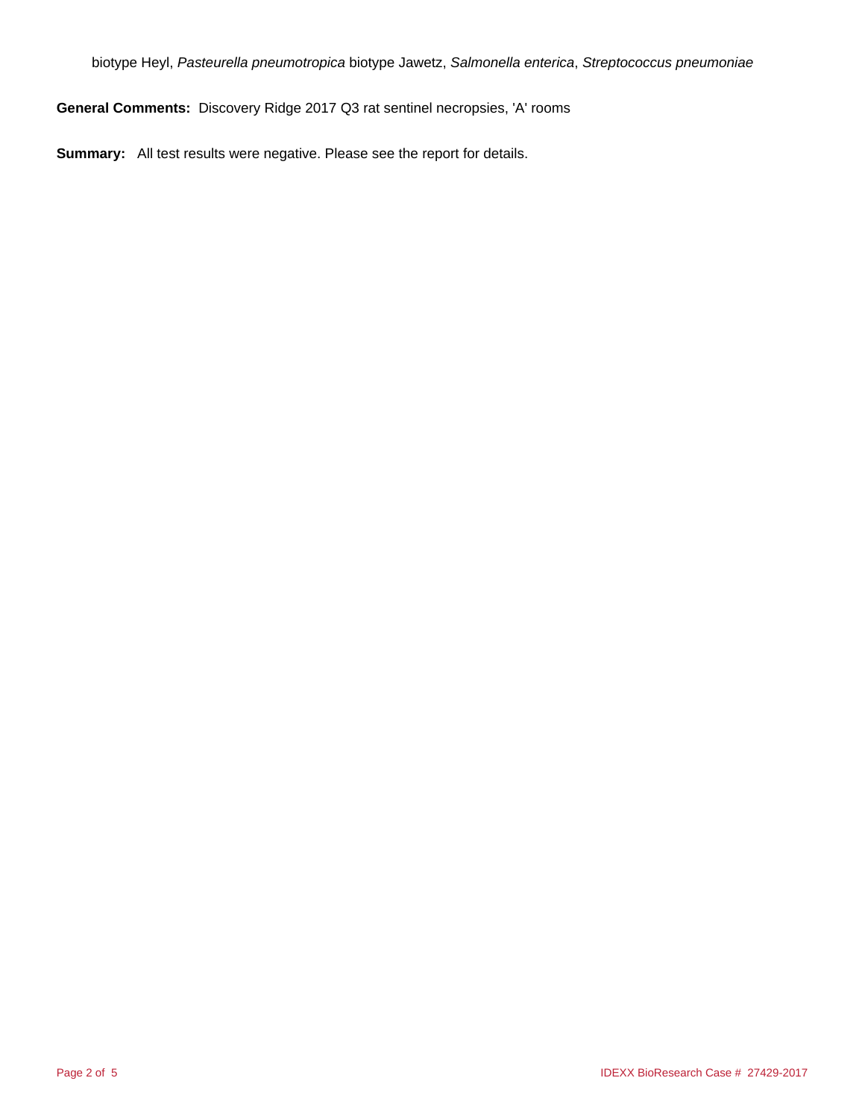biotype Heyl, Pasteurella pneumotropica biotype Jawetz, Salmonella enterica, Streptococcus pneumoniae

**General Comments:** Discovery Ridge 2017 Q3 rat sentinel necropsies, 'A' rooms

**Summary:** All test results were negative. Please see the report for details.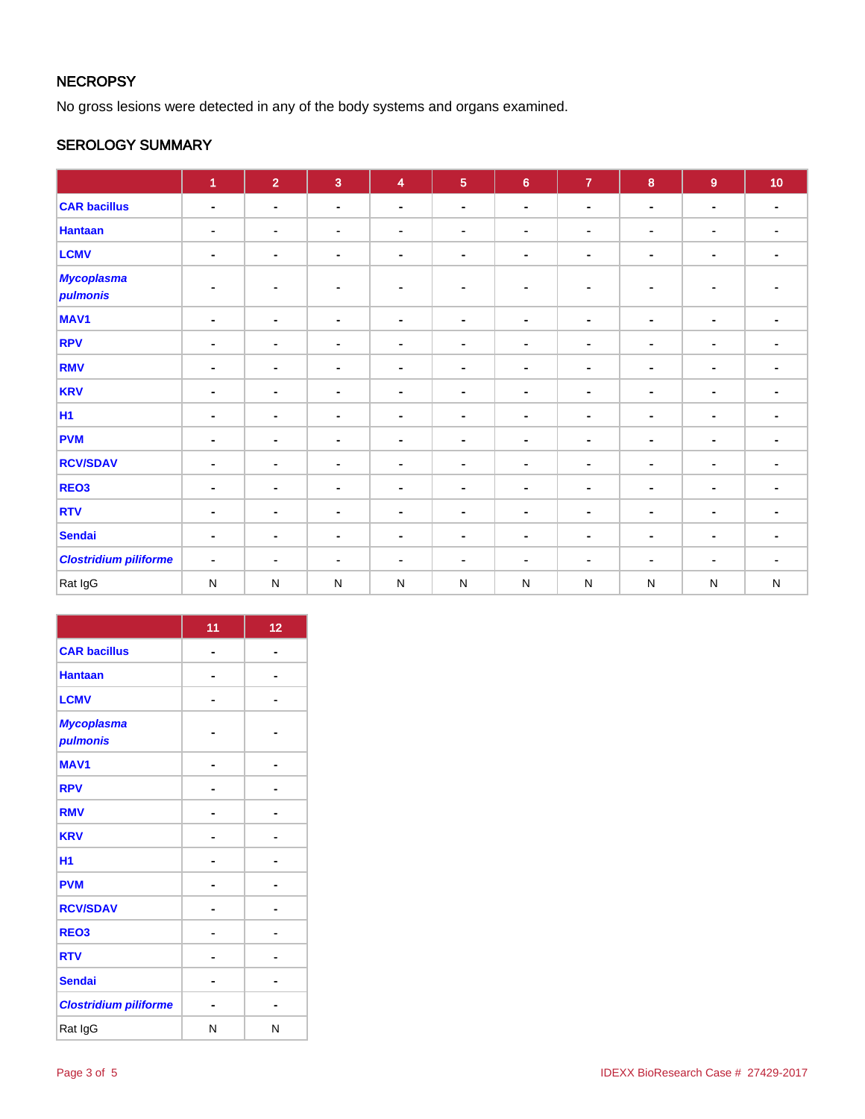### **NECROPSY**

No gross lesions were detected in any of the body systems and organs examined.

#### SEROLOGY SUMMARY

|                               | 1              | $\overline{2}$ | $\mathbf{3}$   | $\overline{\mathbf{4}}$ | $5\phantom{1}$ | $6\phantom{a}$ | $\overline{7}$ | 8              | $\overline{9}$ | 10 <sub>1</sub> |
|-------------------------------|----------------|----------------|----------------|-------------------------|----------------|----------------|----------------|----------------|----------------|-----------------|
| <b>CAR bacillus</b>           | $\blacksquare$ | $\blacksquare$ | $\blacksquare$ | $\blacksquare$          | $\blacksquare$ | $\blacksquare$ | $\blacksquare$ | $\blacksquare$ | $\blacksquare$ | $\blacksquare$  |
| <b>Hantaan</b>                | $\blacksquare$ | $\blacksquare$ | $\blacksquare$ | $\blacksquare$          | $\blacksquare$ | $\blacksquare$ | $\blacksquare$ | $\blacksquare$ | $\blacksquare$ | $\blacksquare$  |
| <b>LCMV</b>                   | $\blacksquare$ | $\blacksquare$ | $\blacksquare$ | $\blacksquare$          | $\blacksquare$ | $\blacksquare$ | ۰              | $\blacksquare$ | $\blacksquare$ | $\blacksquare$  |
| <b>Mycoplasma</b><br>pulmonis | $\blacksquare$ | $\blacksquare$ | $\blacksquare$ | $\sim$                  | $\blacksquare$ | $\blacksquare$ | $\blacksquare$ | $\sim$         | $\blacksquare$ |                 |
| MAV <sub>1</sub>              | $\blacksquare$ | $\blacksquare$ | $\blacksquare$ | $\blacksquare$          | ۰              | $\blacksquare$ | $\blacksquare$ | $\blacksquare$ | $\blacksquare$ | $\blacksquare$  |
| <b>RPV</b>                    | $\blacksquare$ | $\blacksquare$ | $\blacksquare$ | $\blacksquare$          |                | $\blacksquare$ | $\blacksquare$ | $\blacksquare$ | $\blacksquare$ | $\blacksquare$  |
| <b>RMV</b>                    | $\blacksquare$ | $\blacksquare$ | $\blacksquare$ | $\blacksquare$          | $\blacksquare$ | $\blacksquare$ | $\blacksquare$ | $\blacksquare$ | $\blacksquare$ | $\blacksquare$  |
| <b>KRV</b>                    | $\blacksquare$ | ٠              | $\blacksquare$ | $\blacksquare$          | $\blacksquare$ | $\blacksquare$ | $\blacksquare$ | $\blacksquare$ | $\blacksquare$ | $\blacksquare$  |
| <b>H1</b>                     | $\blacksquare$ | $\blacksquare$ | $\blacksquare$ | $\blacksquare$          | $\blacksquare$ | $\blacksquare$ | $\blacksquare$ | $\blacksquare$ | $\blacksquare$ | $\blacksquare$  |
| <b>PVM</b>                    | $\blacksquare$ | $\blacksquare$ | $\blacksquare$ | $\blacksquare$          | $\blacksquare$ | $\sim$         | $\blacksquare$ | $\blacksquare$ | $\blacksquare$ | $\blacksquare$  |
| <b>RCV/SDAV</b>               | $\blacksquare$ | $\blacksquare$ | $\blacksquare$ | $\blacksquare$          | $\blacksquare$ | $\blacksquare$ | $\blacksquare$ | $\blacksquare$ | $\blacksquare$ | $\blacksquare$  |
| REO <sub>3</sub>              | $\blacksquare$ | $\blacksquare$ | $\blacksquare$ | $\blacksquare$          |                | $\blacksquare$ | $\blacksquare$ | $\blacksquare$ | $\blacksquare$ | ۰               |
| <b>RTV</b>                    | $\blacksquare$ | ۰              | $\blacksquare$ | $\blacksquare$          | ٠              | $\blacksquare$ | $\blacksquare$ | $\blacksquare$ | $\blacksquare$ | $\blacksquare$  |
| <b>Sendai</b>                 | $\blacksquare$ | ٠              | $\blacksquare$ | $\blacksquare$          | $\blacksquare$ | $\blacksquare$ | $\blacksquare$ | $\blacksquare$ | $\blacksquare$ | $\blacksquare$  |
| <b>Clostridium piliforme</b>  | $\blacksquare$ | $\blacksquare$ | $\blacksquare$ | $\blacksquare$          | ٠              | $\blacksquare$ |                | $\blacksquare$ | $\blacksquare$ | $\blacksquare$  |
| Rat IgG                       | $\mathsf{N}$   | $\mathsf{N}$   | $\mathsf{N}$   | ${\sf N}$               | $\mathsf{N}$   | ${\sf N}$      | $\mathsf{N}$   | $\mathsf{N}$   | ${\sf N}$      | ${\sf N}$       |

|                               | 11 | 12 |
|-------------------------------|----|----|
| <b>CAR bacillus</b>           |    |    |
| <b>Hantaan</b>                |    |    |
| <b>LCMV</b>                   |    |    |
| <b>Mycoplasma</b><br>pulmonis |    |    |
| <b>MAV1</b>                   |    |    |
| <b>RPV</b>                    |    |    |
| <b>RMV</b>                    |    |    |
| <b>KRV</b>                    |    |    |
| <b>H1</b>                     |    |    |
| <b>PVM</b>                    |    |    |
| <b>RCV/SDAV</b>               |    |    |
| REO <sub>3</sub>              |    |    |
| <b>RTV</b>                    |    |    |
| <b>Sendai</b>                 |    |    |
| <b>Clostridium piliforme</b>  |    |    |
| Rat IgG                       | N  | N  |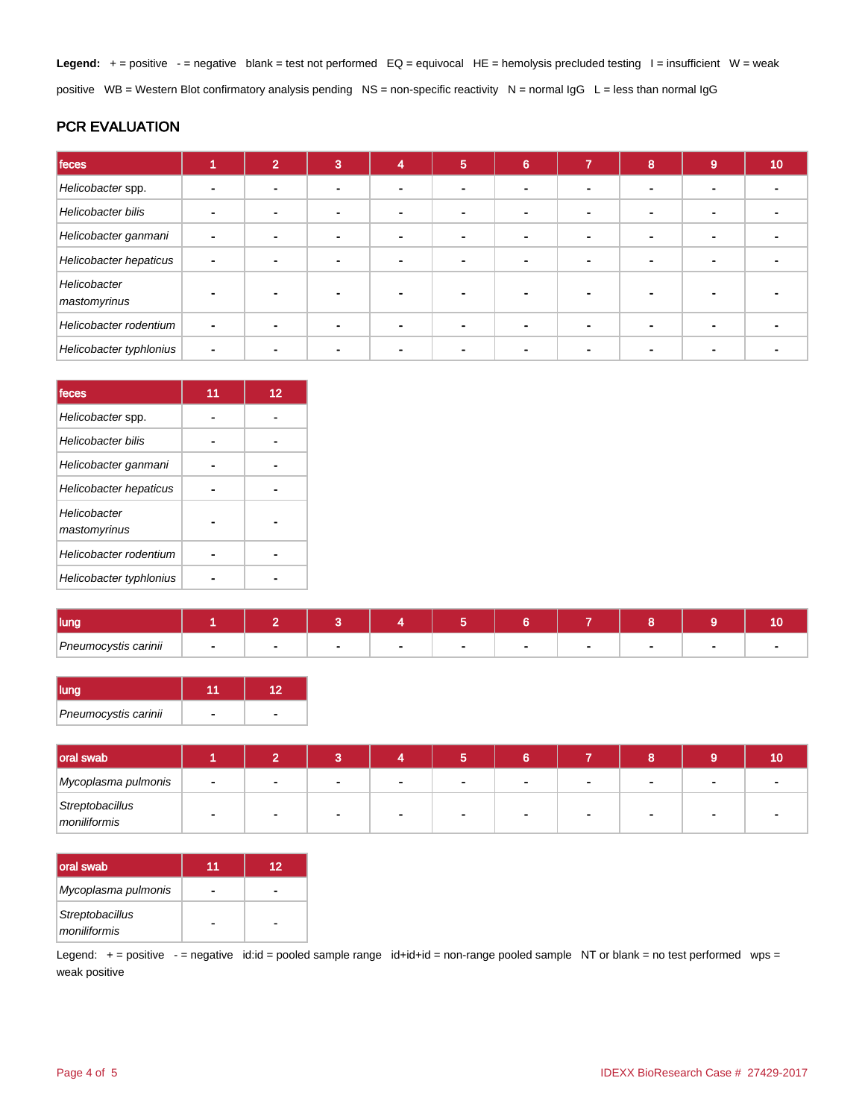Legend: + = positive - = negative blank = test not performed EQ = equivocal HE = hemolysis precluded testing l = insufficient W = weak positive WB = Western Blot confirmatory analysis pending NS = non-specific reactivity N = normal IgG L = less than normal IgG

#### PCR EVALUATION

| feces                        |                | $\overline{2}$ | 3 | 4 | 5 | 6 | $\overline{\phantom{a}}$ | 8 | $\overline{9}$           | 10 <sub>1</sub> |
|------------------------------|----------------|----------------|---|---|---|---|--------------------------|---|--------------------------|-----------------|
| Helicobacter spp.            |                |                |   |   |   |   |                          |   |                          |                 |
| Helicobacter bilis           | ۰              |                |   |   |   |   |                          |   | $\overline{\phantom{a}}$ |                 |
| Helicobacter ganmani         | $\overline{a}$ |                |   |   |   |   |                          |   |                          |                 |
| Helicobacter hepaticus       | ٠              |                |   |   |   |   |                          |   |                          |                 |
| Helicobacter<br>mastomyrinus |                |                |   |   |   |   |                          |   |                          |                 |
| Helicobacter rodentium       | $\blacksquare$ |                |   |   |   |   |                          |   |                          |                 |
| Helicobacter typhlonius      | $\blacksquare$ |                |   |   |   |   |                          |   |                          |                 |

| feces                        | 11 | 12 |
|------------------------------|----|----|
| Helicobacter spp.            |    |    |
| Helicobacter bilis           |    |    |
| Helicobacter ganmani         |    |    |
| Helicobacter hepaticus       |    |    |
| Helicobacter<br>mastomyrinus |    |    |
| Helicobacter rodentium       |    |    |
| Helicobacter typhlonius      |    |    |

| lung,                                                                    |  |  |  |  |  |
|--------------------------------------------------------------------------|--|--|--|--|--|
| Pneumocystis carinii<br>$\sim$ $\sim$ $\sim$ $\sim$ $\sim$ $\sim$ $\sim$ |  |  |  |  |  |

| <b>Ilung</b>         |  |
|----------------------|--|
| Pneumocystis carinii |  |

| oral swab                       |                |  |        |              |  | 10 |
|---------------------------------|----------------|--|--------|--------------|--|----|
| Mycoplasma pulmonis             | $\blacksquare$ |  | $\sim$ | $\mathbf{r}$ |  |    |
| Streptobacillus<br>moniliformis |                |  | $\sim$ |              |  |    |

| <b>loral swab</b>               | 11 | 12 |
|---------------------------------|----|----|
| Mycoplasma pulmonis             |    |    |
| Streptobacillus<br>moniliformis |    |    |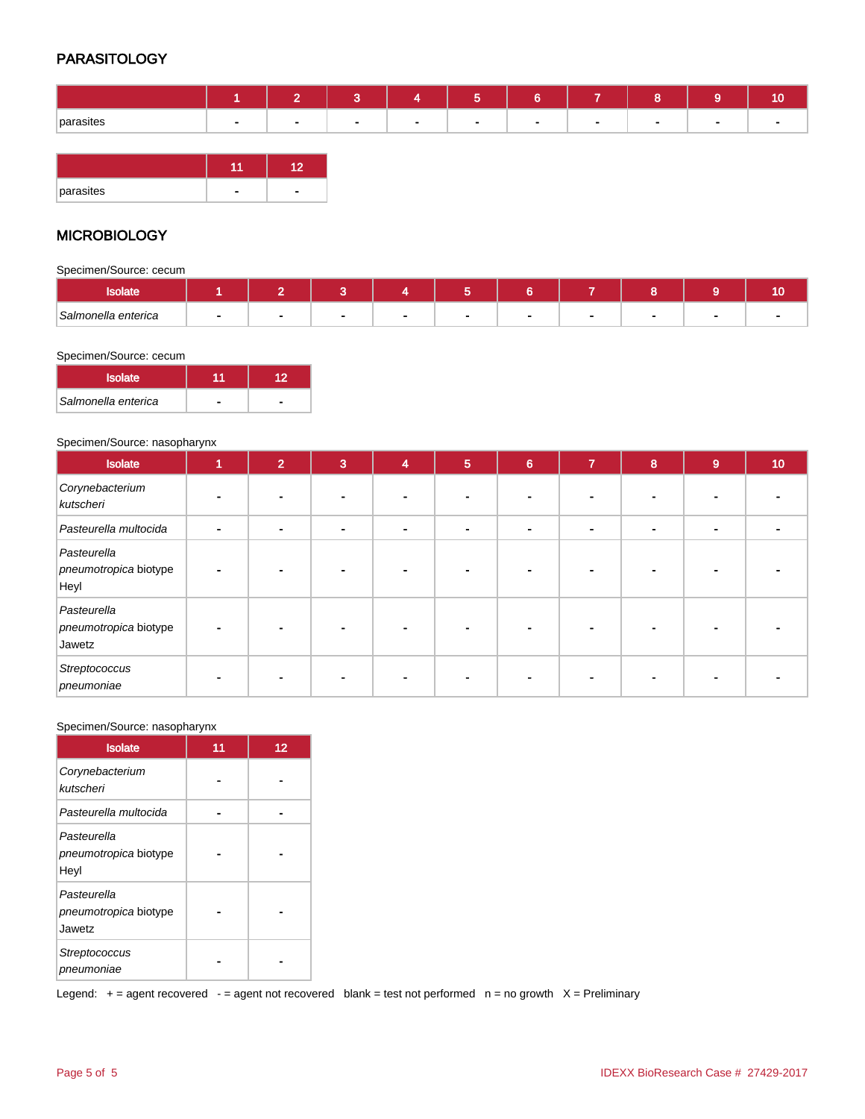#### PARASITOLOGY

|           |        | $\sim$<br>. . | $\sim$<br>∾ | . . | <b>CONT</b><br>ಾ | 6      | $\sim$                            |        |        |              |
|-----------|--------|---------------|-------------|-----|------------------|--------|-----------------------------------|--------|--------|--------------|
| parasites | $\sim$ | $\sim$        | $\sim$      |     | $\sim$           | $\sim$ | <b>Contract Contract Contract</b> | $\sim$ | $\sim$ | $\mathbf{r}$ |
|           |        |               |             |     |                  |        |                                   |        |        |              |

| parasites |  |
|-----------|--|

#### **MICROBIOLOGY**

Specimen/Source: cecum

| Salmonella enterica |  |  |  |  |  |
|---------------------|--|--|--|--|--|

#### Specimen/Source: cecum

| <b>Isolate</b>      |  |
|---------------------|--|
| Salmonella enterica |  |

#### Specimen/Source: nasopharynx

| Isolate                                        | 1 | $\overline{2}$ | $\mathbf{3}$ | 4              | $5\phantom{1}$ | $6\phantom{a}$ | $\overline{7}$ | 8                        | 9              | 10 |
|------------------------------------------------|---|----------------|--------------|----------------|----------------|----------------|----------------|--------------------------|----------------|----|
| Corynebacterium<br>kutscheri                   |   |                |              |                |                |                |                |                          |                |    |
| Pasteurella multocida                          |   | -              | $\sim$       | $\blacksquare$ |                | $\blacksquare$ | $\blacksquare$ | $\overline{\phantom{0}}$ | $\blacksquare$ |    |
| Pasteurella<br>pneumotropica biotype<br>Heyl   |   |                |              |                |                |                |                |                          |                |    |
| Pasteurella<br>pneumotropica biotype<br>Jawetz |   |                |              |                |                |                |                |                          |                |    |
| Streptococcus<br>pneumoniae                    |   |                |              |                |                |                |                |                          |                |    |

#### Specimen/Source: nasopharynx

| <b>Isolate</b>                                 | 11 | 12 |
|------------------------------------------------|----|----|
| Corynebacterium<br>kutscheri                   |    |    |
| Pasteurella multocida                          |    |    |
| Pasteurella<br>pneumotropica biotype<br>Heyl   |    |    |
| Pasteurella<br>pneumotropica biotype<br>Jawetz |    |    |
| Streptococcus<br>pneumoniae                    |    |    |

Legend:  $+$  = agent recovered - = agent not recovered blank = test not performed  $n$  = no growth  $X$  = Preliminary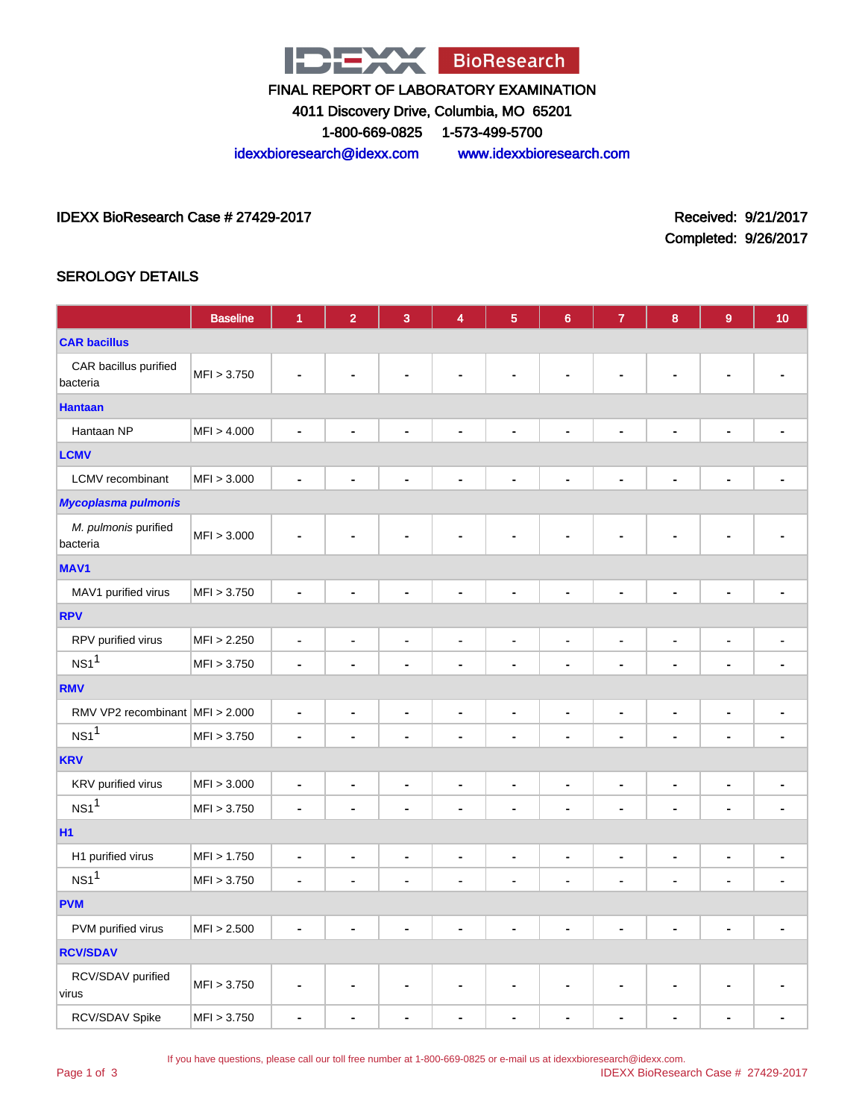

4011 Discovery Drive, Columbia, MO 65201

1-800-669-0825 1-573-499-5700

idexxbioresearch@idexx.com www.idexxbioresearch.com

IDEXX BioResearch Case # 27429-2017 Received: 9/21/2017

Completed: 9/26/2017

#### SEROLOGY DETAILS

|                                   | <b>Baseline</b> | 1              | $\overline{2}$               | 3                            | 4                            | $\overline{\mathbf{5}}$      | $6\phantom{a}$               | $\overline{7}$               | 8                            | 9                            | 10                       |
|-----------------------------------|-----------------|----------------|------------------------------|------------------------------|------------------------------|------------------------------|------------------------------|------------------------------|------------------------------|------------------------------|--------------------------|
| <b>CAR bacillus</b>               |                 |                |                              |                              |                              |                              |                              |                              |                              |                              |                          |
| CAR bacillus purified<br>bacteria | MFI > 3.750     | Ē,             |                              |                              |                              |                              |                              |                              |                              |                              |                          |
| <b>Hantaan</b>                    |                 |                |                              |                              |                              |                              |                              |                              |                              |                              |                          |
| Hantaan NP                        | MFI > 4.000     | $\blacksquare$ | ÷                            | $\blacksquare$               | $\blacksquare$               | ÷                            | $\blacksquare$               | Ē.                           | ÷                            | $\blacksquare$               |                          |
| <b>LCMV</b>                       |                 |                |                              |                              |                              |                              |                              |                              |                              |                              |                          |
| <b>LCMV</b> recombinant           | MFI > 3.000     | L,             | ٠                            | $\blacksquare$               | $\blacksquare$               | ٠                            | ä,                           | $\blacksquare$               | ٠                            | $\blacksquare$               |                          |
| <b>Mycoplasma pulmonis</b>        |                 |                |                              |                              |                              |                              |                              |                              |                              |                              |                          |
| M. pulmonis purified<br>bacteria  | MFI > 3.000     | Ĭ.             |                              |                              |                              |                              |                              |                              |                              |                              |                          |
| <b>MAV1</b>                       |                 |                |                              |                              |                              |                              |                              |                              |                              |                              |                          |
| MAV1 purified virus               | MFI > 3.750     | $\blacksquare$ | ٠                            | $\blacksquare$               | ä,                           | ٠                            | $\blacksquare$               | ä,                           | ä,                           | ä,                           | ä,                       |
| <b>RPV</b>                        |                 |                |                              |                              |                              |                              |                              |                              |                              |                              |                          |
| RPV purified virus                | MFI > 2.250     | $\blacksquare$ | $\blacksquare$               | $\blacksquare$               | $\qquad \qquad \blacksquare$ | $\blacksquare$               | $\blacksquare$               | $\qquad \qquad \blacksquare$ | $\blacksquare$               | $\blacksquare$               | $\blacksquare$           |
| NS1 <sup>1</sup>                  | MFI > 3.750     | $\blacksquare$ | $\blacksquare$               |                              | Ĭ.                           | Ĭ.                           |                              | $\blacksquare$               | Ĭ.                           | $\blacksquare$               | Ĭ.                       |
| <b>RMV</b>                        |                 |                |                              |                              |                              |                              |                              |                              |                              |                              |                          |
| RMV VP2 recombinant MFI > 2.000   |                 | $\blacksquare$ | $\qquad \qquad \blacksquare$ | $\qquad \qquad \blacksquare$ | $\overline{\phantom{a}}$     | $\qquad \qquad \blacksquare$ | $\qquad \qquad \blacksquare$ |                              | $\qquad \qquad \blacksquare$ | $\qquad \qquad \blacksquare$ | ٠                        |
| NS1 <sup>1</sup>                  | MFI > 3.750     | ä,             | ä,                           | $\blacksquare$               | $\ddot{\phantom{1}}$         | ä,                           | $\blacksquare$               | $\blacksquare$               | ä,                           | $\blacksquare$               | $\blacksquare$           |
| <b>KRV</b>                        |                 |                |                              |                              |                              |                              |                              |                              |                              |                              |                          |
| KRV purified virus                | MFI > 3.000     | $\overline{a}$ | $\qquad \qquad \blacksquare$ | $\blacksquare$               | $\qquad \qquad \blacksquare$ | $\qquad \qquad \blacksquare$ | $\blacksquare$               | $\qquad \qquad \blacksquare$ | $\qquad \qquad \blacksquare$ | $\qquad \qquad \blacksquare$ | $\blacksquare$           |
| NS1 <sup>1</sup>                  | MFI > 3.750     | $\blacksquare$ | $\blacksquare$               | $\blacksquare$               | Ē.                           | $\blacksquare$               | $\blacksquare$               | Ē.                           | ä,                           | ÷                            |                          |
| <b>H1</b>                         |                 |                |                              |                              |                              |                              |                              |                              |                              |                              |                          |
| H1 purified virus                 | MFI > 1.750     | $\overline{a}$ | $\qquad \qquad \blacksquare$ | $\qquad \qquad \blacksquare$ |                              | $\qquad \qquad \blacksquare$ | $\qquad \qquad \blacksquare$ |                              | $\qquad \qquad \blacksquare$ | $\qquad \qquad \blacksquare$ | $\overline{a}$           |
| NS1 <sup>1</sup>                  | MFI > 3.750     | ÷              | Ĭ.                           | $\blacksquare$               | ä,                           | ä,                           | $\blacksquare$               | ä,                           | ä,                           | $\blacksquare$               | $\ddot{\phantom{1}}$     |
| <b>PVM</b>                        |                 |                |                              |                              |                              |                              |                              |                              |                              |                              |                          |
| PVM purified virus                | MFI > 2.500     | $\frac{1}{2}$  | $\qquad \qquad \blacksquare$ | $\blacksquare$               | $\frac{1}{2}$                | $\qquad \qquad \blacksquare$ | $\blacksquare$               | $\blacksquare$               | $\qquad \qquad \blacksquare$ | $\blacksquare$               | $\overline{\phantom{a}}$ |
| <b>RCV/SDAV</b>                   |                 |                |                              |                              |                              |                              |                              |                              |                              |                              |                          |
| RCV/SDAV purified<br>virus        | MFI > 3.750     | $\blacksquare$ | ۰                            | $\blacksquare$               | $\overline{\phantom{a}}$     | $\blacksquare$               | $\blacksquare$               | $\overline{\phantom{a}}$     | $\blacksquare$               | $\blacksquare$               | ۰                        |
| RCV/SDAV Spike                    | MFI > 3.750     | ÷              |                              | ä,                           | ٠                            |                              | ä,                           | ٠                            |                              | ä,                           | $\blacksquare$           |

If you have questions, please call our toll free number at 1-800-669-0825 or e-mail us at idexxbioresearch@idexx.com.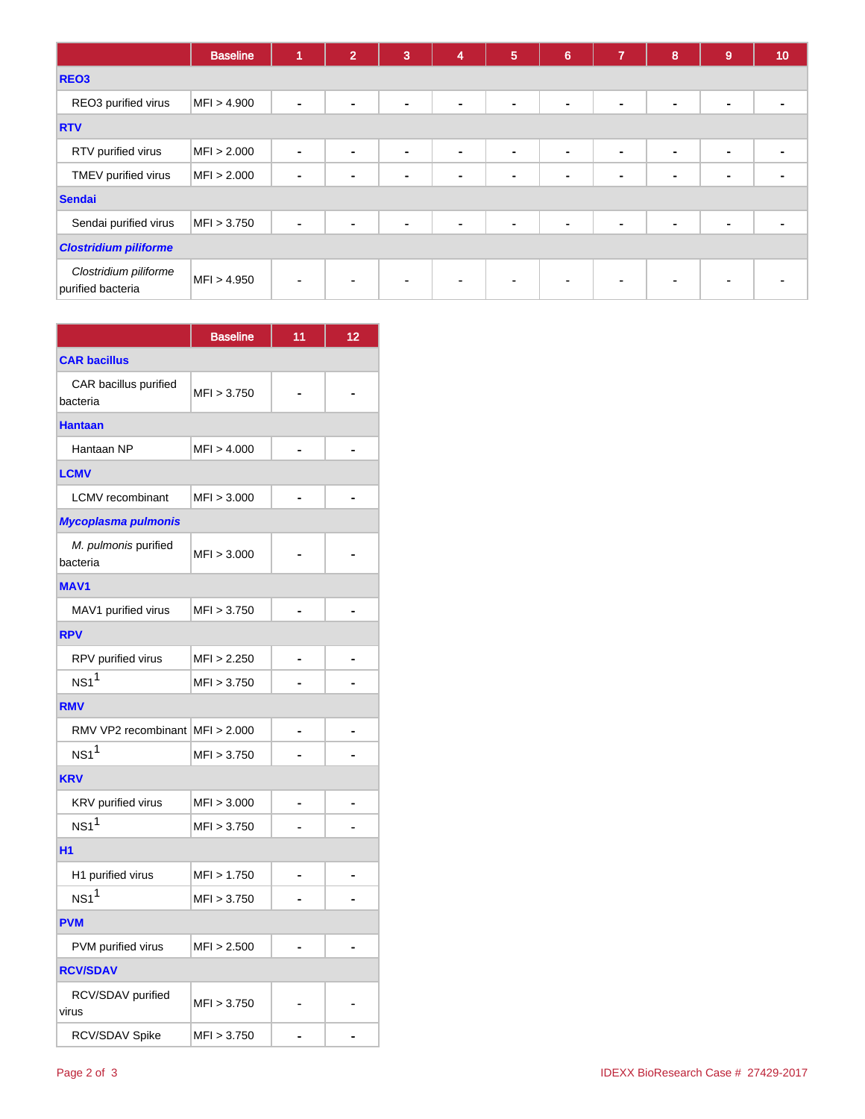|                                            | <b>Baseline</b> | 1 | $\overline{2}$ | 3              | 4              | 5              | $6\phantom{1}6$ | $\overline{7}$ | 8              | 9              | 10 |
|--------------------------------------------|-----------------|---|----------------|----------------|----------------|----------------|-----------------|----------------|----------------|----------------|----|
| REO <sub>3</sub>                           |                 |   |                |                |                |                |                 |                |                |                |    |
| REO3 purified virus                        | MFI > 4.900     | ۰ | $\blacksquare$ | $\blacksquare$ | ٠              | $\blacksquare$ | $\blacksquare$  | $\blacksquare$ | $\blacksquare$ | $\blacksquare$ |    |
| <b>RTV</b>                                 |                 |   |                |                |                |                |                 |                |                |                |    |
| RTV purified virus                         | MFI > 2.000     | ٠ | $\sim$         | $\sim$         | $\blacksquare$ | $\sim$         | $\sim$          | $\blacksquare$ | $\blacksquare$ | $\blacksquare$ |    |
| TMEV purified virus                        | MFI > 2.000     | ۰ | $\blacksquare$ | ٠              | ۰              | ٠              | $\blacksquare$  | ۰              | $\blacksquare$ | $\blacksquare$ |    |
| <b>Sendai</b>                              |                 |   |                |                |                |                |                 |                |                |                |    |
| Sendai purified virus                      | MFI > 3.750     | ۰ | $\blacksquare$ | $\blacksquare$ | $\blacksquare$ | $\sim$         | $\blacksquare$  | -              | ۰              | $\blacksquare$ |    |
| <b>Clostridium piliforme</b>               |                 |   |                |                |                |                |                 |                |                |                |    |
| Clostridium piliforme<br>purified bacteria | MFI > 4.950     |   | $\blacksquare$ | $\blacksquare$ | $\blacksquare$ | $\blacksquare$ | ۰               |                | ٠              |                |    |

|                                   | <b>Baseline</b> | 11 | 12 |
|-----------------------------------|-----------------|----|----|
| <b>CAR bacillus</b>               |                 |    |    |
| CAR bacillus purified<br>bacteria | MFI > 3.750     |    |    |
| <b>Hantaan</b>                    |                 |    |    |
| Hantaan NP                        | MFI > 4.000     |    |    |
| <b>LCMV</b>                       |                 |    |    |
| <b>LCMV</b> recombinant           | MFI > 3.000     |    |    |
| Mycoplasma pulmonis               |                 |    |    |
| M. pulmonis purified<br>bacteria  | MFI > 3.000     |    |    |
| <b>MAV1</b>                       |                 |    |    |
| MAV1 purified virus               | MFI > 3.750     |    |    |
| <b>RPV</b>                        |                 |    |    |
| RPV purified virus                | MFI > 2.250     |    |    |
| $NS1^1$                           | MFI > 3.750     |    |    |
| <b>RMV</b>                        |                 |    |    |
| RMV VP2 recombinant MFI > 2.000   |                 |    |    |
| NS1 <sup>1</sup>                  | MFI > 3.750     |    |    |
| <b>KRV</b>                        |                 |    |    |
| KRV purified virus                | MFI > 3.000     |    |    |
| $NS1^1$                           | MFI > 3.750     |    |    |
| H <sub>1</sub>                    |                 |    |    |
| H1 purified virus                 | MFI > 1.750     |    |    |
| $NS1$ <sup>1</sup>                | MFI > 3.750     |    |    |
| <b>PVM</b>                        |                 |    |    |
| PVM purified virus                | MFI > 2.500     |    |    |
| <b>RCV/SDAV</b>                   |                 |    |    |
| RCV/SDAV purified<br>virus        | MFI > 3.750     |    |    |
| RCV/SDAV Spike                    | MFI > 3.750     |    |    |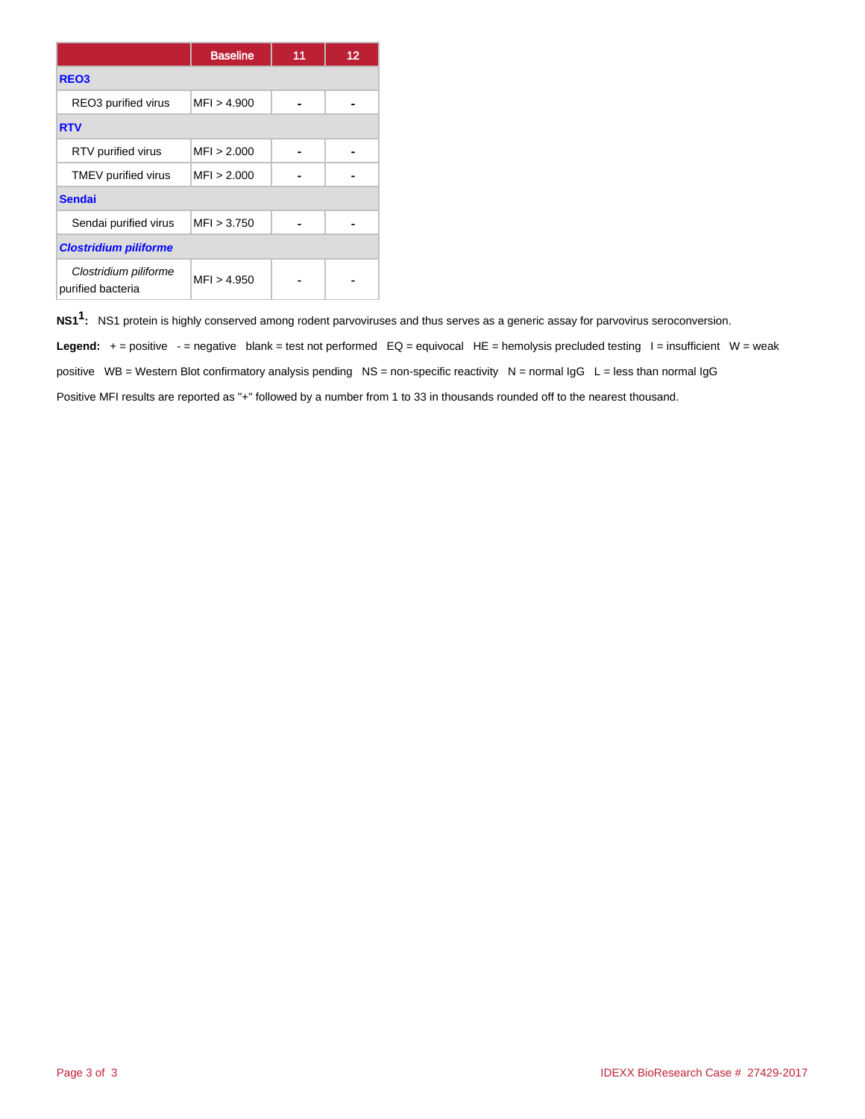|                                            | <b>Baseline</b> | 11 | 12 |  |  |
|--------------------------------------------|-----------------|----|----|--|--|
| REO <sub>3</sub>                           |                 |    |    |  |  |
| REO3 purified virus                        | MFI > 4.900     |    |    |  |  |
| <b>RTV</b>                                 |                 |    |    |  |  |
| RTV purified virus                         | MFI > 2.000     |    |    |  |  |
| TMEV purified virus                        | MFI > 2.000     |    |    |  |  |
| <b>Sendai</b>                              |                 |    |    |  |  |
| Sendai purified virus                      | MFI > 3.750     |    |    |  |  |
| <b>Clostridium piliforme</b>               |                 |    |    |  |  |
| Clostridium piliforme<br>purified bacteria | MFI > 4.950     |    |    |  |  |

**NS11 :** NS1 protein is highly conserved among rodent parvoviruses and thus serves as a generic assay for parvovirus seroconversion. Legend: + = positive - = negative blank = test not performed EQ = equivocal HE = hemolysis precluded testing l = insufficient W = weak positive  $WB = Western Blot confirmatory analysis pending NS = non-specific reactivity  $N = normal IgG L = less than normal IgG$$ Positive MFI results are reported as "+" followed by a number from 1 to 33 in thousands rounded off to the nearest thousand.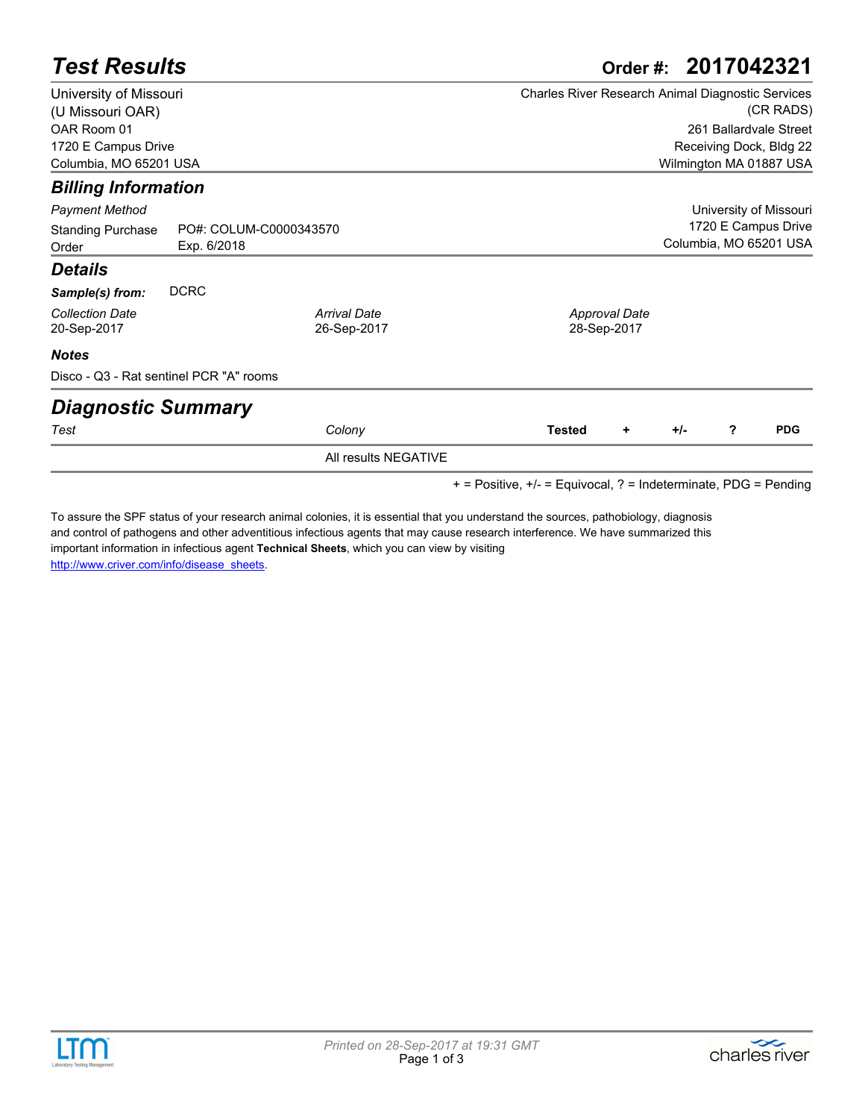|                                               |                                                                                                                                             | Order #: 2017042321                                                    |                     |               |                                     |                        |                                                                              |  |
|-----------------------------------------------|---------------------------------------------------------------------------------------------------------------------------------------------|------------------------------------------------------------------------|---------------------|---------------|-------------------------------------|------------------------|------------------------------------------------------------------------------|--|
|                                               |                                                                                                                                             | <b>Charles River Research Animal Diagnostic Services</b><br>(CR RADS)  |                     |               |                                     |                        |                                                                              |  |
|                                               |                                                                                                                                             |                                                                        |                     |               |                                     |                        |                                                                              |  |
|                                               |                                                                                                                                             |                                                                        |                     |               |                                     |                        |                                                                              |  |
| 1720 E Campus Drive<br>Columbia, MO 65201 USA |                                                                                                                                             |                                                                        |                     |               |                                     |                        |                                                                              |  |
|                                               |                                                                                                                                             |                                                                        |                     |               |                                     |                        |                                                                              |  |
|                                               |                                                                                                                                             |                                                                        |                     |               |                                     | University of Missouri |                                                                              |  |
|                                               | 1720 E Campus Drive                                                                                                                         |                                                                        |                     |               |                                     |                        |                                                                              |  |
| Exp. 6/2018                                   |                                                                                                                                             | Columbia, MO 65201 USA                                                 |                     |               |                                     |                        |                                                                              |  |
|                                               |                                                                                                                                             |                                                                        |                     |               |                                     |                        |                                                                              |  |
|                                               |                                                                                                                                             |                                                                        |                     |               |                                     |                        |                                                                              |  |
|                                               |                                                                                                                                             |                                                                        |                     |               |                                     |                        |                                                                              |  |
|                                               |                                                                                                                                             |                                                                        |                     |               |                                     |                        |                                                                              |  |
|                                               |                                                                                                                                             |                                                                        |                     |               |                                     |                        |                                                                              |  |
|                                               |                                                                                                                                             |                                                                        |                     |               |                                     |                        |                                                                              |  |
|                                               |                                                                                                                                             |                                                                        |                     |               |                                     |                        |                                                                              |  |
|                                               |                                                                                                                                             |                                                                        |                     | ٠             | $+/-$                               | ?                      | <b>PDG</b>                                                                   |  |
|                                               | University of Missouri<br><b>Billing Information</b><br><b>DCRC</b><br>Disco - Q3 - Rat sentinel PCR "A" rooms<br><b>Diagnostic Summary</b> | PO#: COLUM-C0000343570<br><b>Arrival Date</b><br>26-Sep-2017<br>Colony | <b>Test Results</b> | <b>Tested</b> | <b>Approval Date</b><br>28-Sep-2017 |                        | 261 Ballardvale Street<br>Receiving Dock, Bldg 22<br>Wilmington MA 01887 USA |  |

All results NEGATIVE

+ = Positive, +/- = Equivocal, ? = Indeterminate, PDG = Pending

[To assure the SPF status of your research animal colonies, it is essential that you understand the sources, pathobiology, diagnosis](http://www.criver.com/info/disease_sheets)  and control of pathogens and other adventitious infectious agents that may cause research interference. We have summarized this important information in infectious agent **Technical Sheets**, which you can view by visiting http://www.criver.com/info/disease\_sheets.

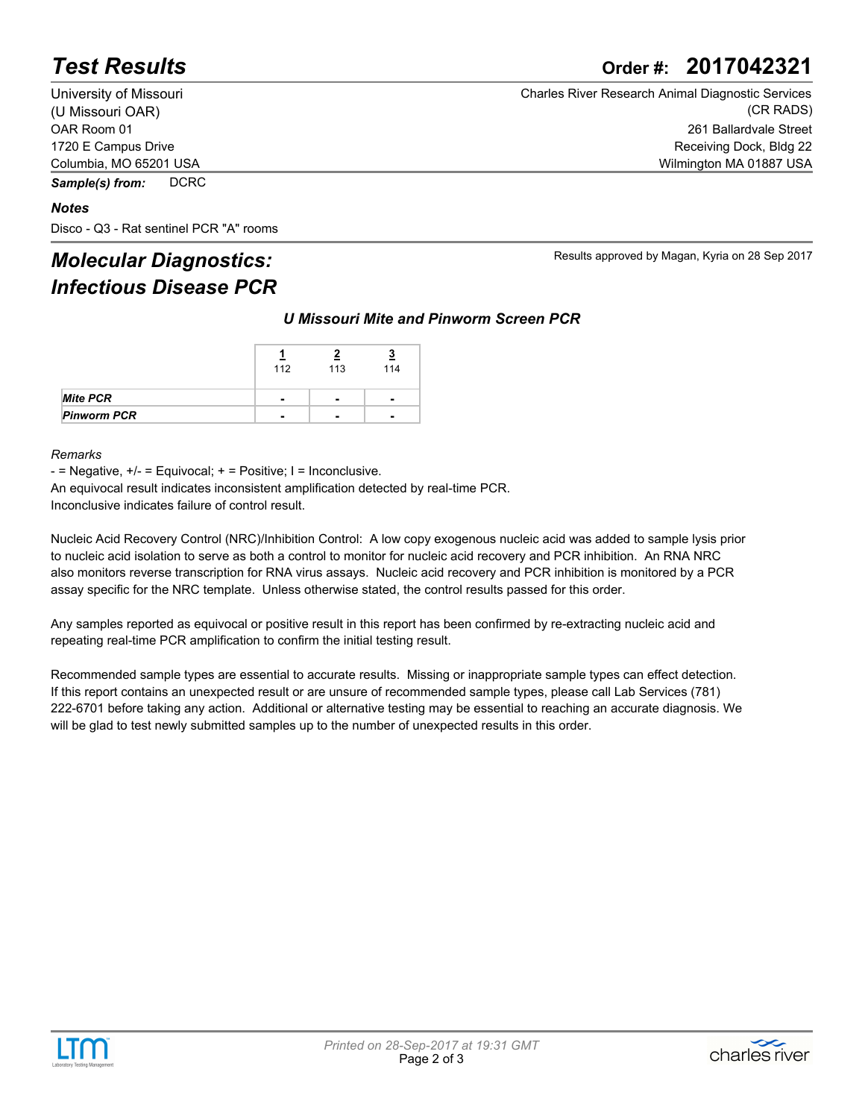### *Test Results* **Order #: 2017042321**

University of Missouri (U Missouri OAR) OAR Room 01 1720 E Campus Drive Columbia, MO 65201 USA

*Sample(s) from:* DCRC

#### *Notes*

Disco - Q3 - Rat sentinel PCR "A" rooms

### *Molecular Diagnostics: Infectious Disease PCR*

Charles River Research Animal Diagnostic Services (CR RADS) 261 Ballardvale Street Receiving Dock, Bldg 22 Wilmington MA 01887 USA

Results approved by Magan, Kyria on 28 Sep 2017

*U Missouri Mite and Pinworm Screen PCR*

|                    | 112            | 113            | 114                      |  |
|--------------------|----------------|----------------|--------------------------|--|
|                    | $\blacksquare$ | $\blacksquare$ | $\overline{\phantom{0}}$ |  |
| <b>Pinworm PCR</b> | -              | $\blacksquare$ |                          |  |

#### *Remarks*

 $-$  = Negative,  $+/-$  = Equivocal;  $+$  = Positive; I = Inconclusive.

An equivocal result indicates inconsistent amplification detected by real-time PCR. Inconclusive indicates failure of control result.

Nucleic Acid Recovery Control (NRC)/Inhibition Control: A low copy exogenous nucleic acid was added to sample lysis prior to nucleic acid isolation to serve as both a control to monitor for nucleic acid recovery and PCR inhibition. An RNA NRC also monitors reverse transcription for RNA virus assays. Nucleic acid recovery and PCR inhibition is monitored by a PCR assay specific for the NRC template. Unless otherwise stated, the control results passed for this order.

Any samples reported as equivocal or positive result in this report has been confirmed by re-extracting nucleic acid and repeating real-time PCR amplification to confirm the initial testing result.

Recommended sample types are essential to accurate results. Missing or inappropriate sample types can effect detection. If this report contains an unexpected result or are unsure of recommended sample types, please call Lab Services (781) 222-6701 before taking any action. Additional or alternative testing may be essential to reaching an accurate diagnosis. We will be glad to test newly submitted samples up to the number of unexpected results in this order.



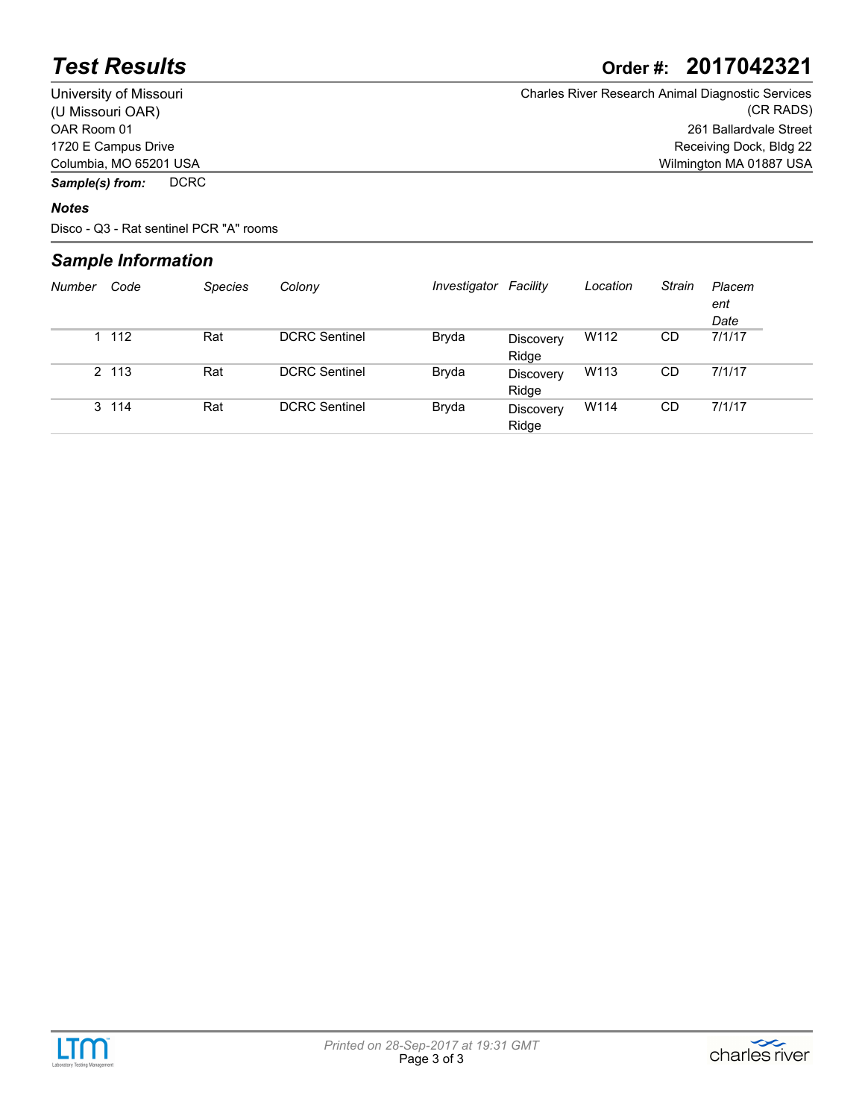## *Test Results* **Order #: 2017042321**

University of Missouri (U Missouri OAR) OAR Room 01 1720 E Campus Drive Columbia, MO 65201 USA Charles River Research Animal Diagnostic Services (CR RADS) 261 Ballardvale Street Receiving Dock, Bldg 22 Wilmington MA 01887 USA

*Sample(s) from:* DCRC

#### *Notes*

Disco - Q3 - Rat sentinel PCR "A" rooms

### *Sample Information*

| Number | Code  | <b>Species</b> | Colony               | Investigator | Facility                  | Location | Strain | Placem<br>ent<br>Date |
|--------|-------|----------------|----------------------|--------------|---------------------------|----------|--------|-----------------------|
|        | 1 112 | Rat            | <b>DCRC</b> Sentinel | Bryda        | <b>Discovery</b><br>Ridge | W112     | CD     | 7/1/17                |
|        | 2 113 | Rat            | <b>DCRC Sentinel</b> | Bryda        | Discovery<br>Ridge        | W113     | CD     | 7/1/17                |
|        | 3 114 | Rat            | <b>DCRC</b> Sentinel | Bryda        | <b>Discovery</b><br>Ridge | W114     | CD     | 7/1/17                |



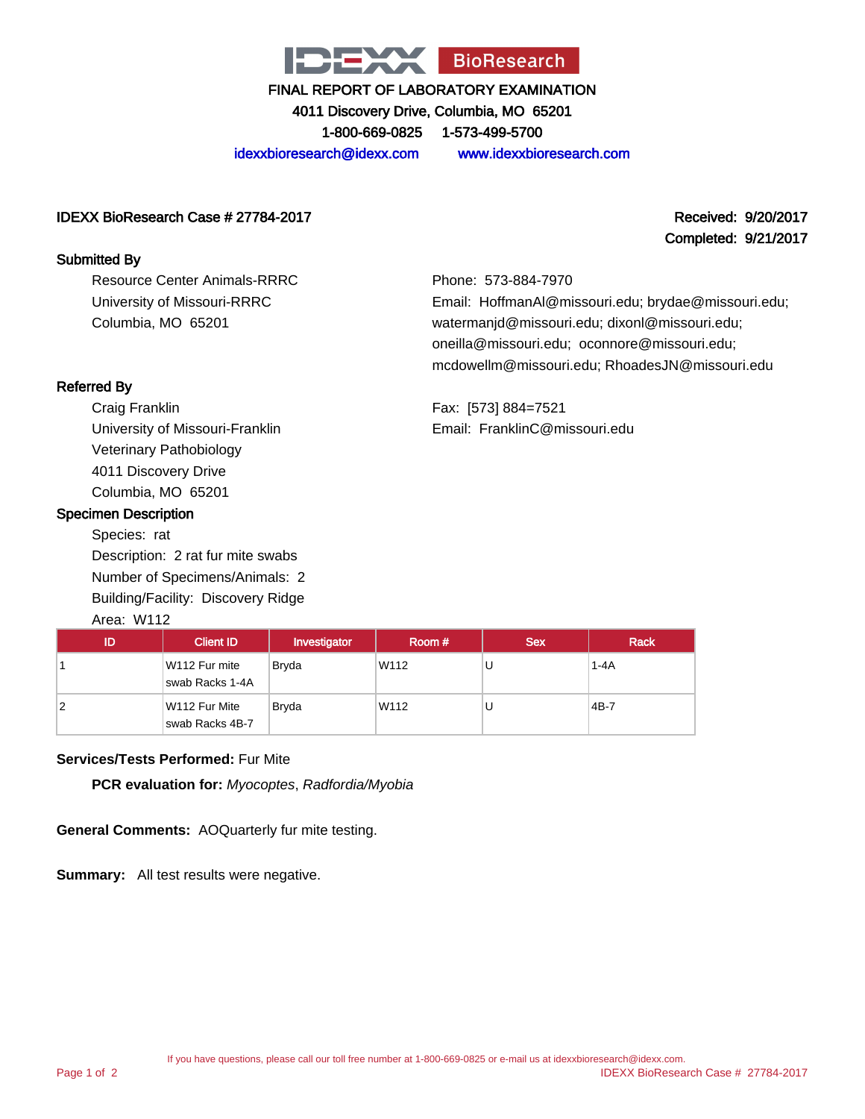

4011 Discovery Drive, Columbia, MO 65201 1-800-669-0825 1-573-499-5700

idexxbioresearch@idexx.com www.idexxbioresearch.com

#### IDEXX BioResearch Case # 27784-2017 Received: 9/20/2017

#### Submitted By

Resource Center Animals-RRRC University of Missouri-RRRC Columbia, MO 65201

# Completed: 9/21/2017

Phone: 573-884-7970 Email: HoffmanAl@missouri.edu; brydae@missouri.edu; watermanjd@missouri.edu; dixonl@missouri.edu; oneilla@missouri.edu; oconnore@missouri.edu; mcdowellm@missouri.edu; RhoadesJN@missouri.edu

Referred By

Craig Franklin University of Missouri-Franklin Veterinary Pathobiology 4011 Discovery Drive Columbia, MO 65201

#### Specimen Description

Species: rat Description: 2 rat fur mite swabs Number of Specimens/Animals: 2 Building/Facility: Discovery Ridge Area: W112

Fax: [573] 884=7521 Email: FranklinC@missouri.edu

| ID | <b>Client ID</b>                 | Investigator | Room # | <b>Sex</b> | <b>Rack</b> |
|----|----------------------------------|--------------|--------|------------|-------------|
|    | W112 Fur mite<br>swab Racks 1-4A | <b>Bryda</b> | W112   | U          | $1 - 4A$    |
| 2  | W112 Fur Mite<br>swab Racks 4B-7 | <b>Brvda</b> | W112   | U          | $4B-7$      |

#### **Services/Tests Performed:** Fur Mite

**PCR evaluation for:** Myocoptes, Radfordia/Myobia

**General Comments:** AOQuarterly fur mite testing.

**Summary:** All test results were negative.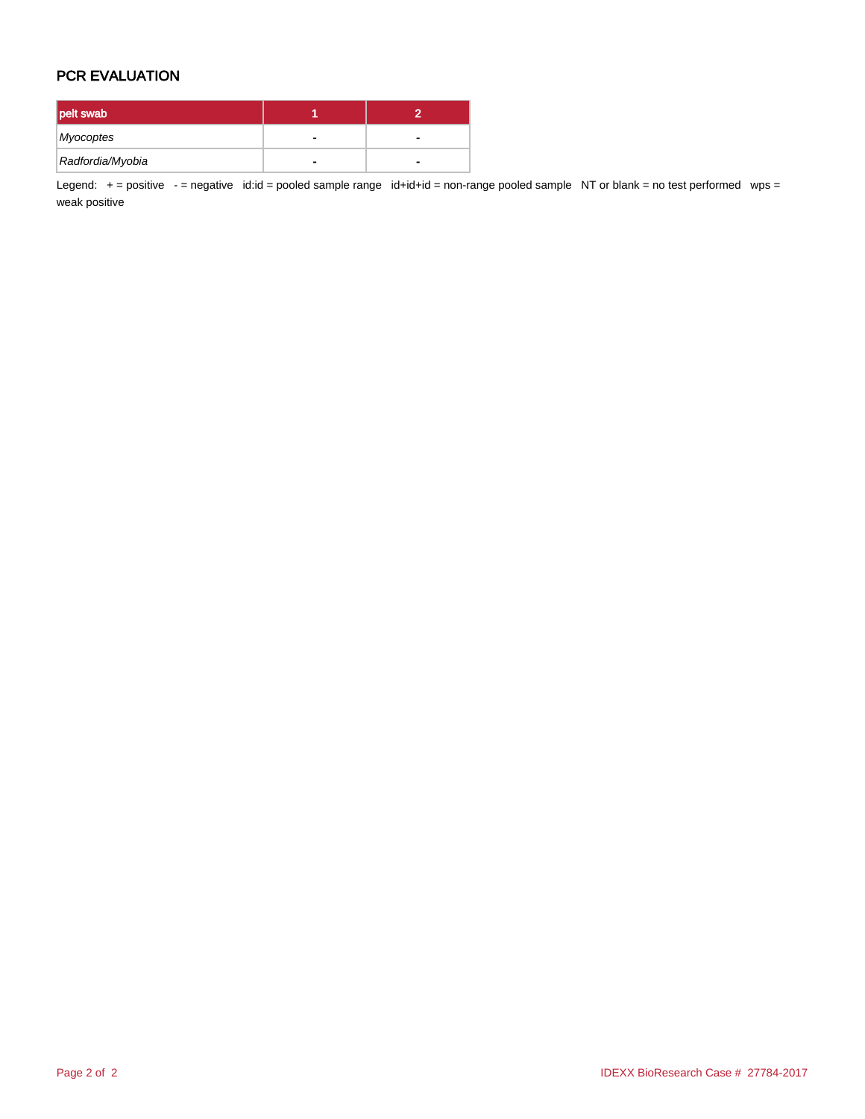#### PCR EVALUATION

| pelt swab        |  |
|------------------|--|
| Myocoptes        |  |
| Radfordia/Myobia |  |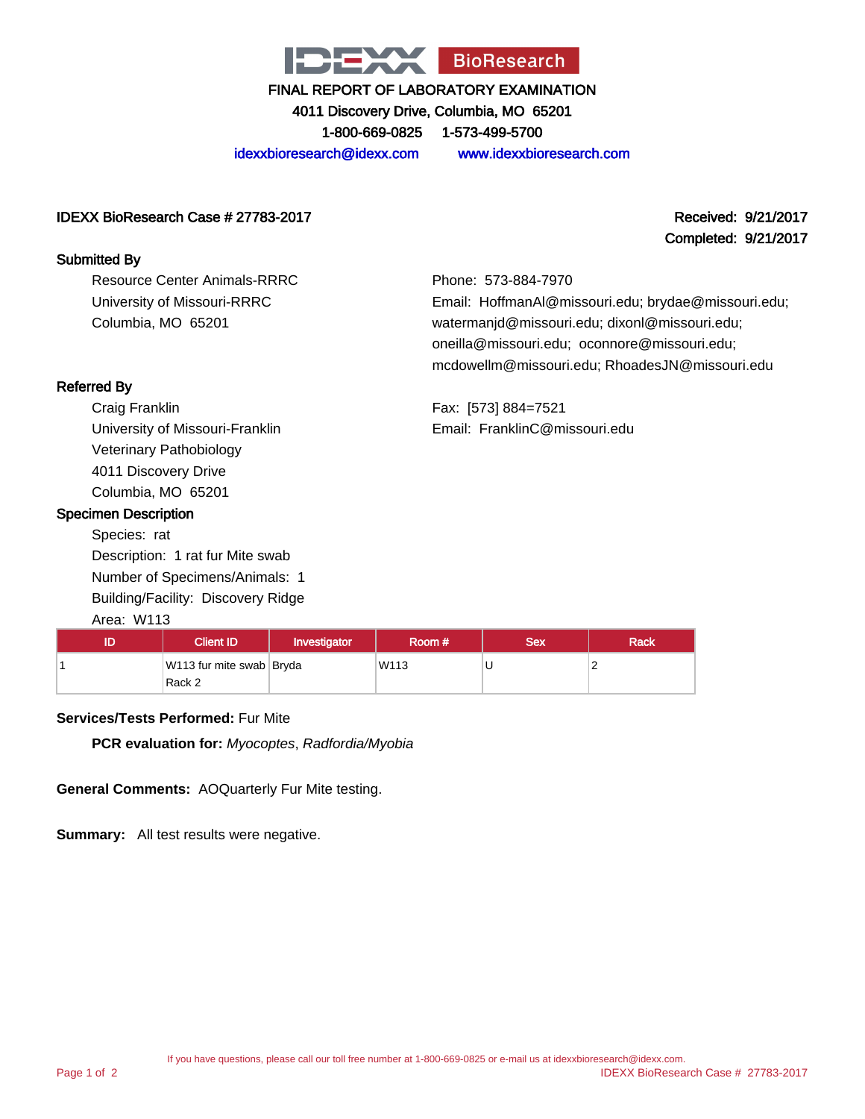

4011 Discovery Drive, Columbia, MO 65201 1-800-669-0825 1-573-499-5700

idexxbioresearch@idexx.com www.idexxbioresearch.com

#### IDEXX BioResearch Case # 27783-2017 Received: 9/21/2017

#### Submitted By

Resource Center Animals-RRRC University of Missouri-RRRC Columbia, MO 65201

# Completed: 9/21/2017

Phone: 573-884-7970 Email: HoffmanAl@missouri.edu; brydae@missouri.edu; watermanjd@missouri.edu; dixonl@missouri.edu; oneilla@missouri.edu; oconnore@missouri.edu; mcdowellm@missouri.edu; RhoadesJN@missouri.edu

Fax: [573] 884=7521

Email: FranklinC@missouri.edu

Referred By

Craig Franklin University of Missouri-Franklin Veterinary Pathobiology 4011 Discovery Drive Columbia, MO 65201

#### Specimen Description

Species: rat Description: 1 rat fur Mite swab Number of Specimens/Animals: 1 Building/Facility: Discovery Ridge

#### Area: W113

| 11 D | Client ID                          | Investigator | Room # | Sex | <b>Rack</b> |
|------|------------------------------------|--------------|--------|-----|-------------|
|      | W113 fur mite swab Bryda<br>Rack 2 |              | W113   |     |             |

#### **Services/Tests Performed:** Fur Mite

**PCR evaluation for:** Myocoptes, Radfordia/Myobia

**General Comments:** AOQuarterly Fur Mite testing.

**Summary:** All test results were negative.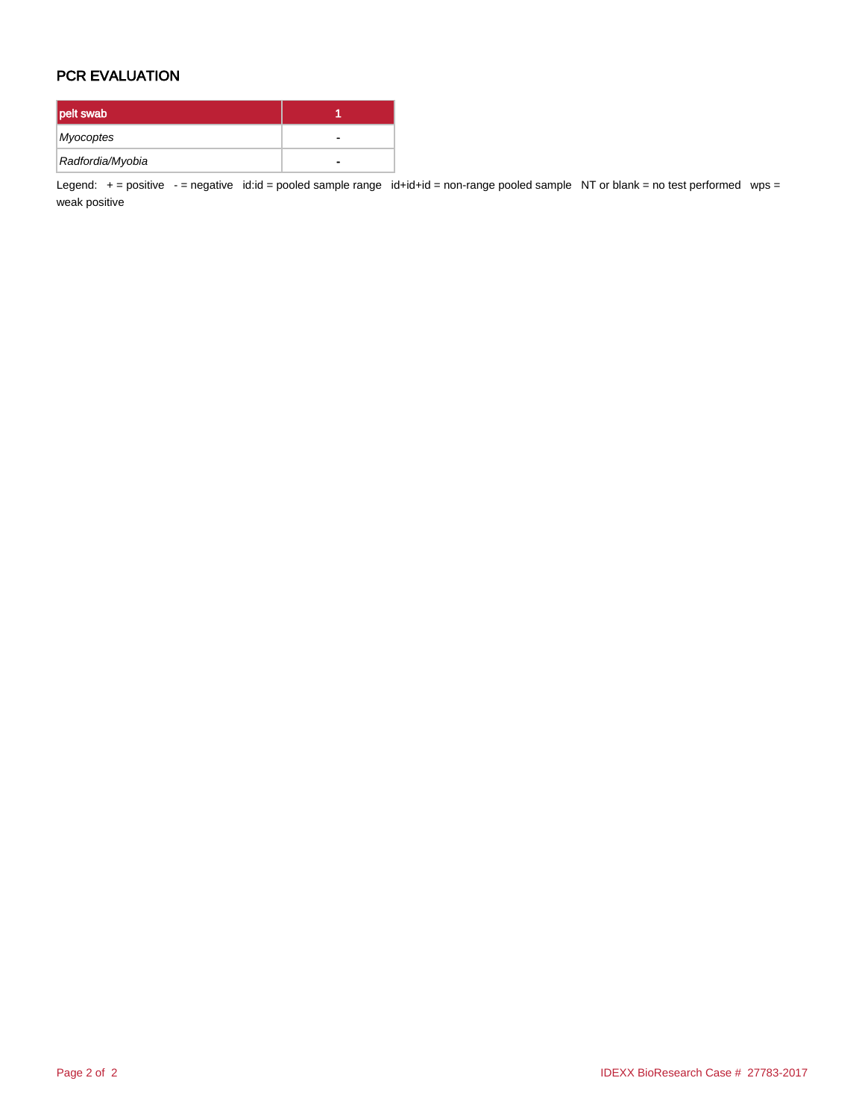#### PCR EVALUATION

| pelt swab        |   |
|------------------|---|
| Myocoptes        |   |
| Radfordia/Myobia | - |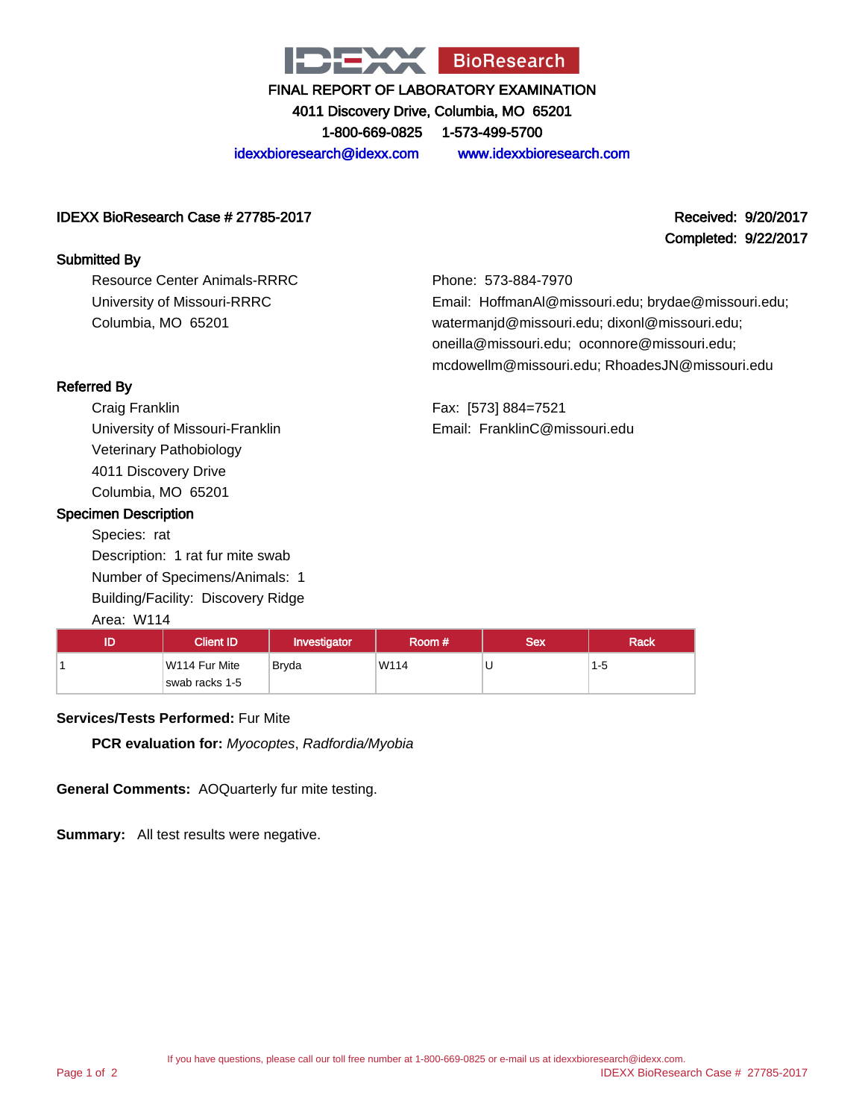

4011 Discovery Drive, Columbia, MO 65201 1-800-669-0825 1-573-499-5700

idexxbioresearch@idexx.com www.idexxbioresearch.com

#### IDEXX BioResearch Case # 27785-2017 Received: 9/20/2017

#### Submitted By

Resource Center Animals-RRRC University of Missouri-RRRC Columbia, MO 65201

## Completed: 9/22/2017

Phone: 573-884-7970 Email: HoffmanAl@missouri.edu; brydae@missouri.edu; watermanjd@missouri.edu; dixonl@missouri.edu; oneilla@missouri.edu; oconnore@missouri.edu; mcdowellm@missouri.edu; RhoadesJN@missouri.edu

Fax: [573] 884=7521 Email: FranklinC@missouri.edu

### Referred By

Craig Franklin University of Missouri-Franklin Veterinary Pathobiology 4011 Discovery Drive Columbia, MO 65201

#### Specimen Description

Species: rat Description: 1 rat fur mite swab Number of Specimens/Animals: 1 Building/Facility: Discovery Ridge

#### Area: W114

| ID | Client ID <sup>'</sup>          | Investigator | Room # | Sex | <b>Rack</b> |
|----|---------------------------------|--------------|--------|-----|-------------|
|    | W114 Fur Mite<br>swab racks 1-5 | Bryda        | W114   | J   | $1-5$       |

#### **Services/Tests Performed:** Fur Mite

**PCR evaluation for:** Myocoptes, Radfordia/Myobia

**General Comments:** AOQuarterly fur mite testing.

**Summary:** All test results were negative.